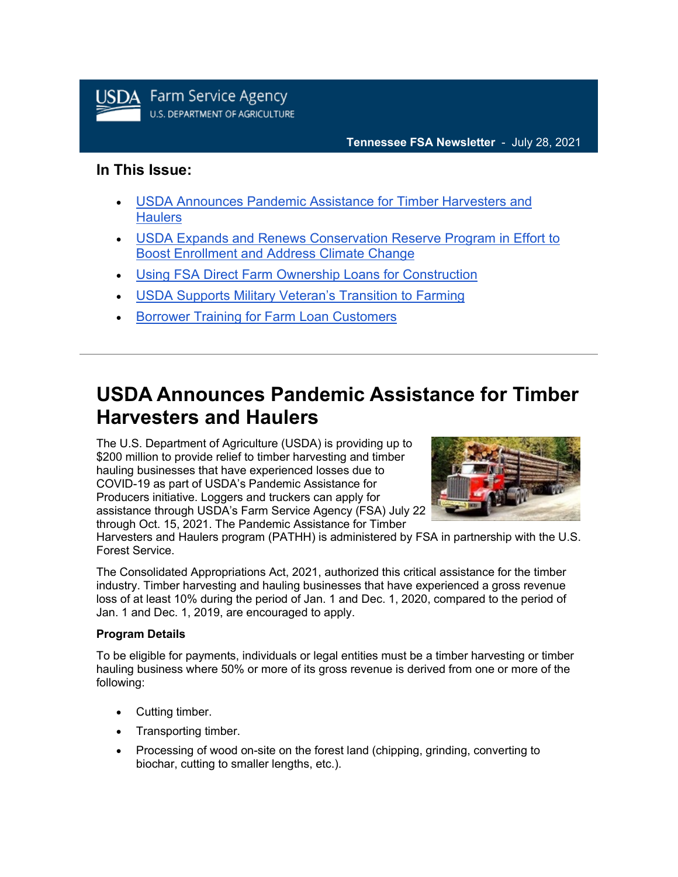

### **In This Issue:**

- [USDA Announces Pandemic Assistance for Timber Harvesters and](https://admin.govdelivery.com/accounts/USDAFARMERS/bulletins?sortdesc=bulletinsort-sent_at&state=sent#link_1)  **[Haulers](https://admin.govdelivery.com/accounts/USDAFARMERS/bulletins?sortdesc=bulletinsort-sent_at&state=sent#link_1)**
- [USDA Expands and Renews Conservation Reserve Program in Effort to](https://admin.govdelivery.com/accounts/USDAFARMERS/bulletins?sortdesc=bulletinsort-sent_at&state=sent#link_2)  [Boost Enrollment and Address Climate Change](https://admin.govdelivery.com/accounts/USDAFARMERS/bulletins?sortdesc=bulletinsort-sent_at&state=sent#link_2)
- [Using FSA Direct Farm Ownership Loans for Construction](https://admin.govdelivery.com/accounts/USDAFARMERS/bulletins?sortdesc=bulletinsort-sent_at&state=sent#link_3)
- [USDA Supports Military Veteran's Transition to Farming](https://admin.govdelivery.com/accounts/USDAFARMERS/bulletins?sortdesc=bulletinsort-sent_at&state=sent#link_4)
- **[Borrower Training for Farm Loan Customers](https://admin.govdelivery.com/accounts/USDAFARMERS/bulletins?sortdesc=bulletinsort-sent_at&state=sent#link_5)**

# **USDA Announces Pandemic Assistance for Timber Harvesters and Haulers**

The U.S. Department of Agriculture (USDA) is providing up to \$200 million to provide relief to timber harvesting and timber hauling businesses that have experienced losses due to COVID-19 as part of USDA's Pandemic Assistance for Producers initiative. Loggers and truckers can apply for assistance through USDA's Farm Service Agency (FSA) July 22 through Oct. 15, 2021. The Pandemic Assistance for Timber



Harvesters and Haulers program (PATHH) is administered by FSA in partnership with the U.S. Forest Service.

The Consolidated Appropriations Act, 2021, authorized this critical assistance for the timber industry. Timber harvesting and hauling businesses that have experienced a gross revenue loss of at least 10% during the period of Jan. 1 and Dec. 1, 2020, compared to the period of Jan. 1 and Dec. 1, 2019, are encouraged to apply.

#### **Program Details**

To be eligible for payments, individuals or legal entities must be a timber harvesting or timber hauling business where 50% or more of its gross revenue is derived from one or more of the following:

- Cutting timber.
- Transporting timber.
- Processing of wood on-site on the forest land (chipping, grinding, converting to biochar, cutting to smaller lengths, etc.).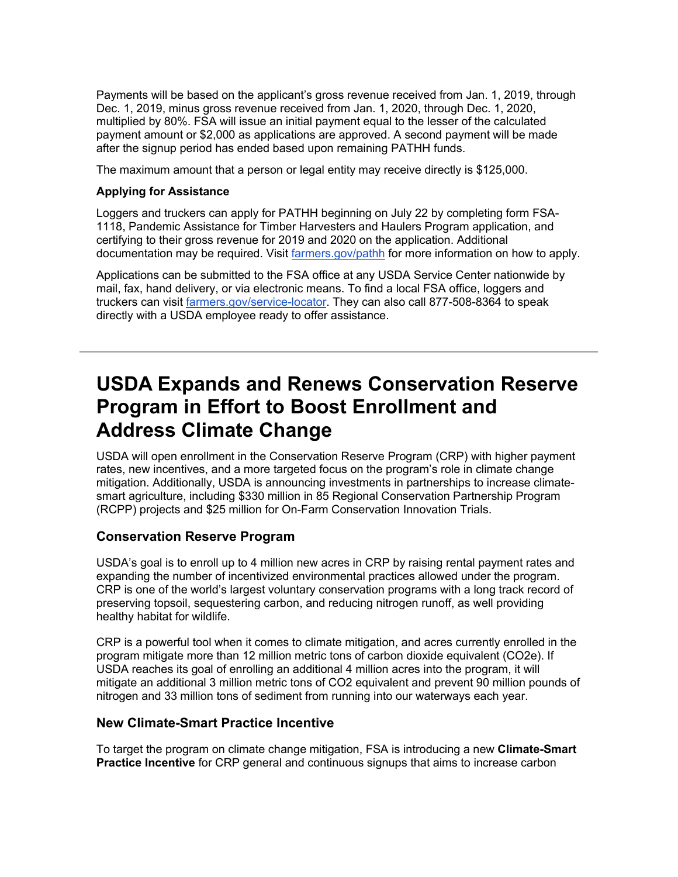Payments will be based on the applicant's gross revenue received from Jan. 1, 2019, through Dec. 1, 2019, minus gross revenue received from Jan. 1, 2020, through Dec. 1, 2020, multiplied by 80%. FSA will issue an initial payment equal to the lesser of the calculated payment amount or \$2,000 as applications are approved. A second payment will be made after the signup period has ended based upon remaining PATHH funds.

The maximum amount that a person or legal entity may receive directly is \$125,000.

#### **Applying for Assistance**

Loggers and truckers can apply for PATHH beginning on July 22 by completing form FSA-1118, Pandemic Assistance for Timber Harvesters and Haulers Program application, and certifying to their gross revenue for 2019 and 2020 on the application. Additional documentation may be required. Visit [farmers.gov/pathh](http://www.farmers.gov/pathh?utm_medium=email&utm_source=govdelivery) for more information on how to apply.

Applications can be submitted to the FSA office at any USDA Service Center nationwide by mail, fax, hand delivery, or via electronic means. To find a local FSA office, loggers and truckers can visit [farmers.gov/service-locator.](http://www.farmers.gov/service-locator?utm_medium=email&utm_source=govdelivery) They can also call 877-508-8364 to speak directly with a USDA employee ready to offer assistance.

## **USDA Expands and Renews Conservation Reserve Program in Effort to Boost Enrollment and Address Climate Change**

USDA will open enrollment in the Conservation Reserve Program (CRP) with higher payment rates, new incentives, and a more targeted focus on the program's role in climate change mitigation. Additionally, USDA is announcing investments in partnerships to increase climatesmart agriculture, including \$330 million in 85 Regional Conservation Partnership Program (RCPP) projects and \$25 million for On-Farm Conservation Innovation Trials.

### **Conservation Reserve Program**

USDA's goal is to enroll up to 4 million new acres in CRP by raising rental payment rates and expanding the number of incentivized environmental practices allowed under the program. CRP is one of the world's largest voluntary conservation programs with a long track record of preserving topsoil, sequestering carbon, and reducing nitrogen runoff, as well providing healthy habitat for wildlife.

CRP is a powerful tool when it comes to climate mitigation, and acres currently enrolled in the program mitigate more than 12 million metric tons of carbon dioxide equivalent (CO2e). If USDA reaches its goal of enrolling an additional 4 million acres into the program, it will mitigate an additional 3 million metric tons of CO2 equivalent and prevent 90 million pounds of nitrogen and 33 million tons of sediment from running into our waterways each year.

### **New Climate-Smart Practice Incentive**

To target the program on climate change mitigation, FSA is introducing a new **Climate-Smart Practice Incentive** for CRP general and continuous signups that aims to increase carbon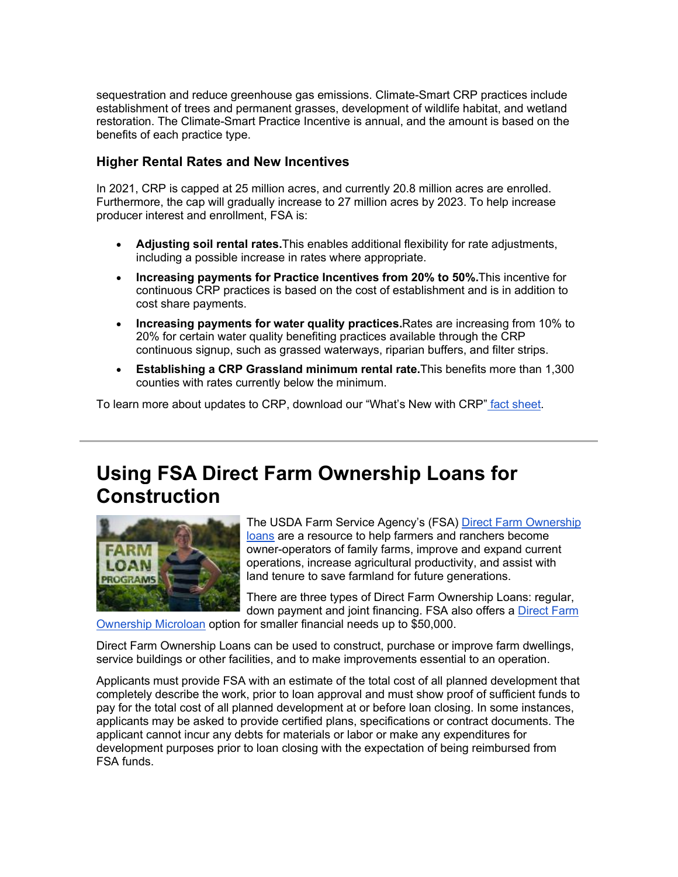sequestration and reduce greenhouse gas emissions. Climate-Smart CRP practices include establishment of trees and permanent grasses, development of wildlife habitat, and wetland restoration. The Climate-Smart Practice Incentive is annual, and the amount is based on the benefits of each practice type.

### **Higher Rental Rates and New Incentives**

In 2021, CRP is capped at 25 million acres, and currently 20.8 million acres are enrolled. Furthermore, the cap will gradually increase to 27 million acres by 2023. To help increase producer interest and enrollment, FSA is:

- **Adjusting soil rental rates.**This enables additional flexibility for rate adjustments, including a possible increase in rates where appropriate.
- **Increasing payments for Practice Incentives from 20% to 50%.**This incentive for continuous CRP practices is based on the cost of establishment and is in addition to cost share payments.
- **Increasing payments for water quality practices.**Rates are increasing from 10% to 20% for certain water quality benefiting practices available through the CRP continuous signup, such as grassed waterways, riparian buffers, and filter strips.
- **Establishing a CRP Grassland minimum rental rate.**This benefits more than 1,300 counties with rates currently below the minimum.

To learn more about updates to CRP, download our "What's New with CRP" [fact sheet.](https://www.fsa.usda.gov/programs-and-services/conservation-programs/conservation-reserve-program/index?utm_medium=email&utm_source=govdelivery)

# **Using FSA Direct Farm Ownership Loans for Construction**



The USDA Farm Service Agency's (FSA) [Direct Farm Ownership](https://www.fsa.usda.gov/programs-and-services/farm-loan-programs/farm-ownership-loans/index?utm_medium=email&utm_source=govdelivery)  [loans](https://www.fsa.usda.gov/programs-and-services/farm-loan-programs/farm-ownership-loans/index?utm_medium=email&utm_source=govdelivery) are a resource to help farmers and ranchers become owner-operators of family farms, improve and expand current operations, increase agricultural productivity, and assist with land tenure to save farmland for future generations.

There are three types of Direct Farm Ownership Loans: regular, down payment and joint financing. FSA also offers a [Direct Farm](https://www.fsa.usda.gov/programs-and-services/farm-loan-programs/microloans/index?utm_medium=email&utm_source=govdelivery) 

[Ownership Microloan](https://www.fsa.usda.gov/programs-and-services/farm-loan-programs/microloans/index?utm_medium=email&utm_source=govdelivery) option for smaller financial needs up to \$50,000.

Direct Farm Ownership Loans can be used to construct, purchase or improve farm dwellings, service buildings or other facilities, and to make improvements essential to an operation.

Applicants must provide FSA with an estimate of the total cost of all planned development that completely describe the work, prior to loan approval and must show proof of sufficient funds to pay for the total cost of all planned development at or before loan closing. In some instances, applicants may be asked to provide certified plans, specifications or contract documents. The applicant cannot incur any debts for materials or labor or make any expenditures for development purposes prior to loan closing with the expectation of being reimbursed from FSA funds.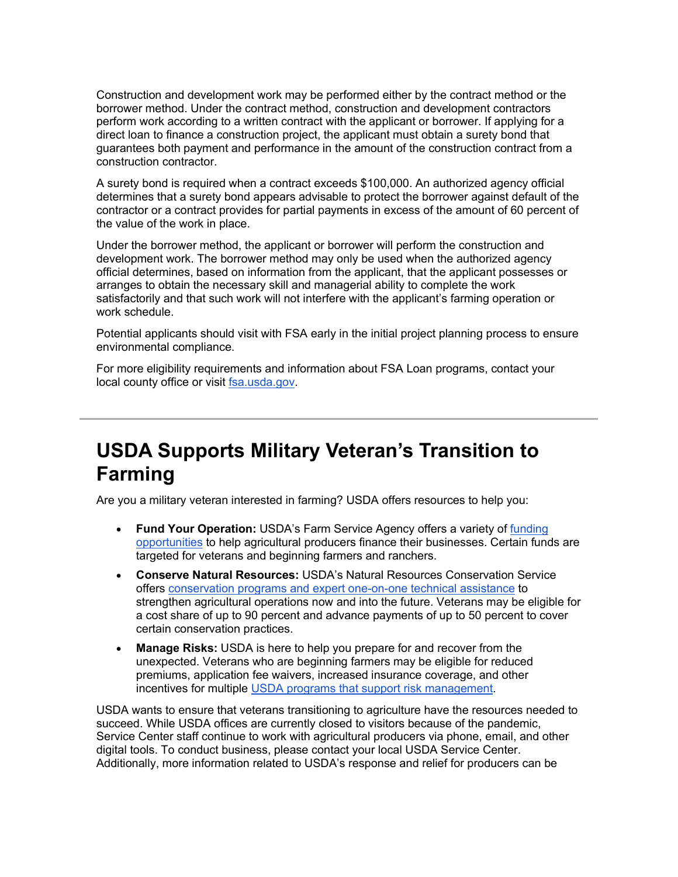Construction and development work may be performed either by the contract method or the borrower method. Under the contract method, construction and development contractors perform work according to a written contract with the applicant or borrower. If applying for a direct loan to finance a construction project, the applicant must obtain a surety bond that guarantees both payment and performance in the amount of the construction contract from a construction contractor.

A surety bond is required when a contract exceeds \$100,000. An authorized agency official determines that a surety bond appears advisable to protect the borrower against default of the contractor or a contract provides for partial payments in excess of the amount of 60 percent of the value of the work in place.

Under the borrower method, the applicant or borrower will perform the construction and development work. The borrower method may only be used when the authorized agency official determines, based on information from the applicant, that the applicant possesses or arranges to obtain the necessary skill and managerial ability to complete the work satisfactorily and that such work will not interfere with the applicant's farming operation or work schedule.

Potential applicants should visit with FSA early in the initial project planning process to ensure environmental compliance.

For more eligibility requirements and information about FSA Loan programs, contact your local county office or visit [fsa.usda.gov.](http://www.fsa.usda.gov/?utm_medium=email&utm_source=govdelivery)

# **USDA Supports Military Veteran's Transition to Farming**

Are you a military veteran interested in farming? USDA offers resources to help you:

- **Fund Your Operation:** USDA's Farm Service Agency offers a variety of [funding](https://www.farmers.gov/fund?utm_medium=email&utm_source=govdelivery)  [opportunities](https://www.farmers.gov/fund?utm_medium=email&utm_source=govdelivery) to help agricultural producers finance their businesses. Certain funds are targeted for veterans and beginning farmers and ranchers.
- **Conserve Natural Resources:** USDA's Natural Resources Conservation Service offers [conservation programs and expert one-on-one technical assistance](https://www.farmers.gov/conserve?utm_medium=email&utm_source=govdelivery) to strengthen agricultural operations now and into the future. Veterans may be eligible for a cost share of up to 90 percent and advance payments of up to 50 percent to cover certain conservation practices.
- **Manage Risks:** USDA is here to help you prepare for and recover from the unexpected. Veterans who are beginning farmers may be eligible for reduced premiums, application fee waivers, increased insurance coverage, and other incentives for multiple [USDA programs that support risk management.](https://www.farmers.gov/manage?utm_medium=email&utm_source=govdelivery)

USDA wants to ensure that veterans transitioning to agriculture have the resources needed to succeed. While USDA offices are currently closed to visitors because of the pandemic, Service Center staff continue to work with agricultural producers via phone, email, and other digital tools. To conduct business, please contact your local USDA Service Center. Additionally, more information related to USDA's response and relief for producers can be